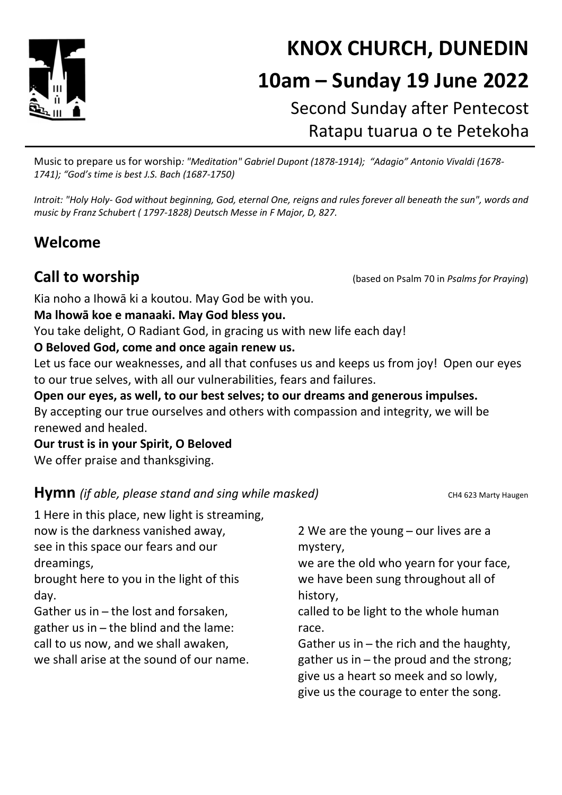

# KNOX CHURCH, DUNEDIN 10am – Sunday 19 June 2022 Second Sunday after Pentecost

Ratapu tuarua o te Petekoha

Music to prepare us for worship: "Meditation" Gabriel Dupont (1878-1914); "Adagio" Antonio Vivaldi (1678- 1741); "God's time is best J.S. Bach (1687-1750)

Introit: "Holy Holy- God without beginning, God, eternal One, reigns and rules forever all beneath the sun", words and music by Franz Schubert ( 1797-1828) Deutsch Messe in F Major, D, 827.

## Welcome

Call to worship (based on Psalm 70 in Psalms for Praying)

Kia noho a Ihowā ki a koutou. May God be with you.

#### Ma lhowā koe e manaaki. May God bless you.

You take delight, O Radiant God, in gracing us with new life each day!

#### O Beloved God, come and once again renew us.

Let us face our weaknesses, and all that confuses us and keeps us from joy! Open our eyes to our true selves, with all our vulnerabilities, fears and failures.

Open our eyes, as well, to our best selves; to our dreams and generous impulses. By accepting our true ourselves and others with compassion and integrity, we will be renewed and healed.

Our trust is in your Spirit, O Beloved We offer praise and thanksgiving.

#### **Hymn** (if able, please stand and sing while masked) CH4 623 Marty Haugen

| 1 Here in this place, new light is streaming, | 2 We are the young - our lives are a     |
|-----------------------------------------------|------------------------------------------|
| now is the darkness vanished away,            | mystery,                                 |
| see in this space our fears and our           | we are the old who yearn for your face,  |
| dreamings,                                    | we have been sung throughout all of      |
| brought here to you in the light of this      | history,                                 |
| day.                                          | called to be light to the whole human    |
| Gather us in – the lost and forsaken,         | race.                                    |
| gather us in - the blind and the lame:        | Gather us in - the rich and the haughty, |
| call to us now, and we shall awaken,          | gather us in – the proud and the strong; |
| we shall arise at the sound of our name.      | give us a heart so meek and so lowly,    |
|                                               | give us the courage to enter the song.   |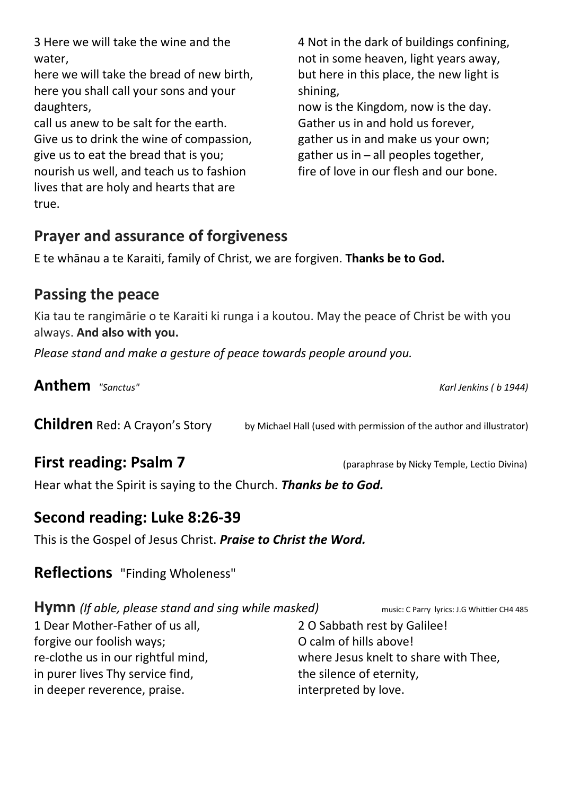| daughters,                               | now is the King   |
|------------------------------------------|-------------------|
| call us anew to be salt for the earth.   | Gather us in ar   |
| Give us to drink the wine of compassion, | gather us in an   |
| give us to eat the bread that is you;    | gather us in $-$  |
| nourish us well, and teach us to fashion | fire of love in c |
| lives that are holy and hearts that are  |                   |
| $trin \cap$                              |                   |

4 Not in the dark of buildings confining, not in some heaven, light years away, but here in this place, the new light is shining,

gdom, now is the day. nd hold us forever, d make us your own; all peoples together, our flesh and our bone.

## Prayer and assurance of forgiveness

3 Here we will take the wine and the

here we will take the bread of new birth, here you shall call your sons and your

water,

true.

daughters,

E te whānau a te Karaiti, family of Christ, we are forgiven. Thanks be to God.

## Passing the peace

Kia tau te rangimārie o te Karaiti ki runga i a koutou. May the peace of Christ be with you always. And also with you.

Please stand and make a gesture of peace towards people around you.

Anthem "Sanctus" Contraction Contraction of the Mathematic Second Lines (Building Seconds Karl Jenkins (b 1944)

**Children** Red: A Crayon's Story by Michael Hall (used with permission of the author and illustrator)

First reading: Psalm 7 (paraphrase by Nicky Temple, Lectio Divina)

Hear what the Spirit is saying to the Church. Thanks be to God.

## Second reading: Luke 8:26-39

This is the Gospel of Jesus Christ. Praise to Christ the Word.

## Reflections "Finding Wholeness"

Hymn (If able, please stand and sing while masked) music: C Parry lyrics: J.G Whittier CH4 485

1 Dear Mother-Father of us all, forgive our foolish ways; re-clothe us in our rightful mind, in purer lives Thy service find, in deeper reverence, praise.

2 O Sabbath rest by Galilee! O calm of hills above! where Jesus knelt to share with Thee, the silence of eternity, interpreted by love.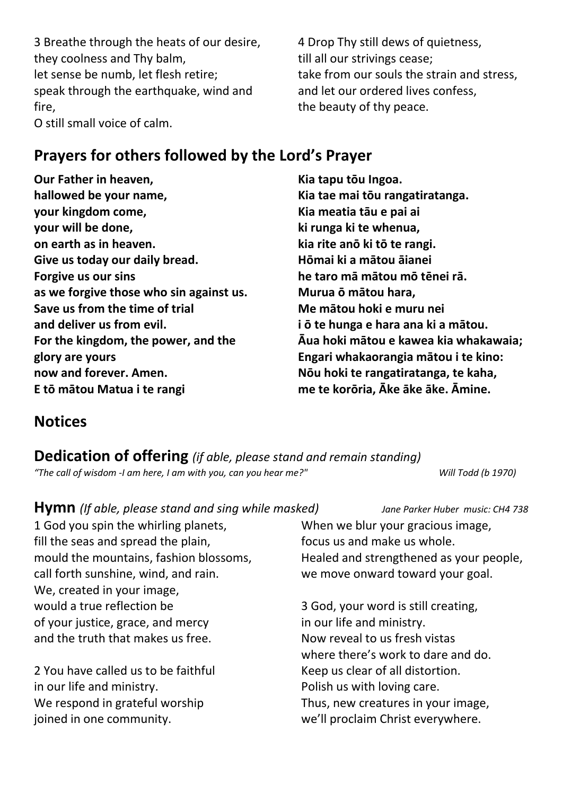3 Breathe through the heats of our desire, they coolness and Thy balm, let sense be numb, let flesh retire; speak through the earthquake, wind and fire,

O still small voice of calm.

4 Drop Thy still dews of quietness, till all our strivings cease; take from our souls the strain and stress, and let our ordered lives confess, the beauty of thy peace.

### Prayers for others followed by the Lord's Prayer

Our Father in heaven, hallowed be your name, your kingdom come, your will be done, on earth as in heaven. Give us today our daily bread. Forgive us our sins as we forgive those who sin against us. Save us from the time of trial and deliver us from evil. For the kingdom, the power, and the glory are yours now and forever. Amen. E tō mātou Matua i te rangi

Kia tapu tōu Ingoa. Kia tae mai tōu rangatiratanga. Kia meatia tāu e pai ai ki runga ki te whenua, kia rite anō ki tō te rangi. Hōmai ki a mātou āianei he taro mā mātou mō tēnei rā. Murua ō mātou hara, Me mātou hoki e muru nei i ō te hunga e hara ana ki a mātou. Āua hoki mātou e kawea kia whakawaia; Engari whakaorangia mātou i te kino: Nōu hoki te rangatiratanga, te kaha, me te korōria, Āke āke āke. Āmine.

## **Notices**

Dedication of offering (if able, please stand and remain standing) "The call of wisdom -I am here, I am with you, can you hear me?" Will Todd (b 1970)

| <b>Hymn</b> (If able, please stand and sing while masked) | Jane Parker Huber music: CH4 738        |
|-----------------------------------------------------------|-----------------------------------------|
| 1 God you spin the whirling planets,                      | When we blur your gracious image,       |
| fill the seas and spread the plain,                       | focus us and make us whole.             |
| mould the mountains, fashion blossoms,                    | Healed and strengthened as your people, |
| call forth sunshine, wind, and rain.                      | we move onward toward your goal.        |
| We, created in your image,                                |                                         |
| would a true reflection be                                | 3 God, your word is still creating,     |
| of your justice, grace, and mercy                         | in our life and ministry.               |
| and the truth that makes us free.                         | Now reveal to us fresh vistas           |
|                                                           | where there's work to dare and do.      |
| 2 You have called us to be faithful                       | Keep us clear of all distortion.        |
| in our life and ministry.                                 | Polish us with loving care.             |
| We respond in grateful worship                            | Thus, new creatures in your image,      |
| joined in one community.                                  | we'll proclaim Christ everywhere.       |
|                                                           |                                         |